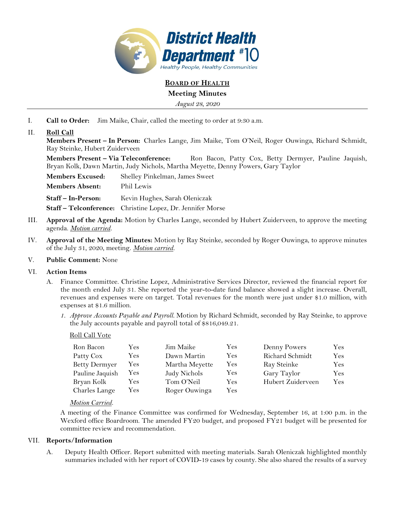

**BOARD OF HEALTH**

# **Meeting Minutes**

*August 28, 2020* 

I. **Call to Order:** Jim Maike, Chair, called the meeting to order at 9:30 a.m.

## II. **Roll Call**

**Members Present – In Person:** Charles Lange, Jim Maike, Tom O'Neil, Roger Ouwinga, Richard Schmidt, Ray Steinke, Hubert Zuiderveen

**Members Present – Via Teleconference:** Ron Bacon, Patty Cox, Betty Dermyer, Pauline Jaquish, Bryan Kolk, Dawn Martin, Judy Nichols, Martha Meyette, Denny Powers, Gary Taylor

**Members Excused:** Shelley Pinkelman, James Sweet **Members Absent:** Phil Lewis Staff - In-Person: Kevin Hughes, Sarah Oleniczak **Staff – Telconference:** Christine Lopez, Dr. Jennifer Morse

- III. **Approval of the Agenda:** Motion by Charles Lange, seconded by Hubert Zuiderveen, to approve the meeting agenda. *Motion carried.*
- IV. **Approval of the Meeting Minutes:** Motion by Ray Steinke, seconded by Roger Ouwinga, to approve minutes of the July 31, 2020, meeting. *Motion carried.*

### V. **Public Comment:** None

### VI. **Action Items**

- A. Finance Committee. Christine Lopez, Administrative Services Director, reviewed the financial report for the month ended July 31. She reported the year-to-date fund balance showed a slight increase. Overall, revenues and expenses were on target. Total revenues for the month were just under \$1.0 million, with expenses at \$1.6 million.
	- *1. Approve Accounts Payable and Payroll.* Motion by Richard Schmidt, seconded by Ray Steinke, to approve the July accounts payable and payroll total of \$816,049.21.

### Roll Call Vote

| Ron Bacon            | Yes  | Jim Maike      | Yes. | Denny Powers      | Yes |
|----------------------|------|----------------|------|-------------------|-----|
| Patty Cox            | Yes. | Dawn Martin    | Yes  | Richard Schmidt   | Yes |
| <b>Betty Dermyer</b> | Yes  | Martha Meyette | Yes. | Ray Steinke       | Yes |
| Pauline Jaquish      | Yes  | Judy Nichols   | Yes  | Gary Taylor       | Yes |
| Bryan Kolk           | Yes. | Tom O'Neil     | Yes  | Hubert Zuiderveen | Yes |
| Charles Lange        | Yes  | Roger Ouwinga  | Yes  |                   |     |

### *Motion Carried.*

A meeting of the Finance Committee was confirmed for Wednesday, September 16, at 1:00 p.m. in the Wexford office Boardroom. The amended FY20 budget, and proposed FY21 budget will be presented for committee review and recommendation.

#### VII. **Reports/Information**

A. Deputy Health Officer. Report submitted with meeting materials. Sarah Oleniczak highlighted monthly summaries included with her report of COVID-19 cases by county. She also shared the results of a survey